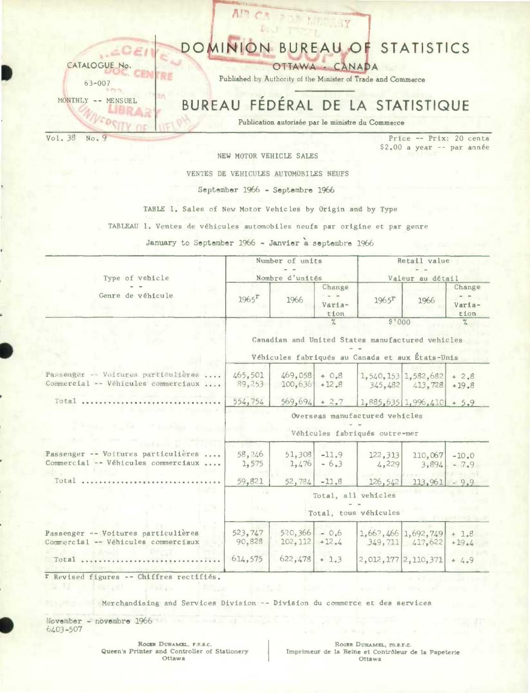

VENTES DE VEHICULES AUTOMOBILES NEUFS

#### September 1966 - Septembre 1966

TABLE 1. Sales of New Motor Vehicles by Origin and by Type

TABLEAU 1. Ventes de véhicules automobiles neufs par origine et par genre

January to September 1966 - Janvier a septembre 1966

| Type of vehicle                                                            |                       | Number of units<br>Nombre d'unités |                          |                                                                                                               | Retail value<br>Valeur au détail           |                          |  |  |
|----------------------------------------------------------------------------|-----------------------|------------------------------------|--------------------------|---------------------------------------------------------------------------------------------------------------|--------------------------------------------|--------------------------|--|--|
| Genre de véhicule                                                          | $1965$ <sup>r</sup>   | 1966                               | Change<br>Varia-<br>tion | $1965$ <sup>r</sup>                                                                                           | 1966                                       | Change<br>Varia-<br>tion |  |  |
|                                                                            |                       |                                    | $\frac{1}{\sqrt{n}}$     | \$'000<br>Canadian and United States manufactured vehicles<br>Véhicules fabriqués au Canada et aux États-Unis |                                            | %                        |  |  |
| Passenger -- Voitures particulières<br>Commercial -- Véhicules commerciaux | 465,501<br>89.253     | $469,058$ + 0.8<br>$100,636$ +12.8 |                          |                                                                                                               | 1,540,153 1,582,682<br>$345,482$ $413,728$ | $+2.8$<br>$+19.8$        |  |  |
| Total                                                                      | 554,754               | $569,694$ + 2.7                    |                          |                                                                                                               | $1,885,635$ 1,996,410 + 5.9                |                          |  |  |
| and declared the price.                                                    |                       |                                    |                          | Overseas manufactured vehicles<br>Véhicules fabriqués outre-mer                                               |                                            |                          |  |  |
| Passenger -- Voitures particulières<br>Commercial -- Véhicules commerciaux | 58, 246<br>1,575      | 51,308<br>1,476                    | $-11.9$<br>$-6.3$        | 122,313<br>4,229                                                                                              | 110,067<br>3.894                           | $-10.0$<br>$-7.9$        |  |  |
| Total                                                                      | 59,821                | 52,784                             | $-11.8$                  | 126, 542                                                                                                      | 113.961                                    | $-9.9$                   |  |  |
|                                                                            |                       |                                    |                          | Total, all vehicles                                                                                           |                                            |                          |  |  |
|                                                                            | Total, tous véhicules |                                    |                          |                                                                                                               |                                            |                          |  |  |
| Passenger -- Voitures particulières<br>Commercial -- Véhicules commerciaux | 523,747<br>90.828     | 520,366<br>102, 112                | $-0.6$<br>$+12.4$        |                                                                                                               | 1,662,466 1,692,749<br>$349,711$ $417,622$ | $+1.8$<br>$+19.4$        |  |  |
| Total                                                                      | 614,575               | 622,478                            | $+1.3$                   |                                                                                                               | 2,012,177 2,110,371                        | $+4.9$                   |  |  |

r Revised figures -- Chiffres rectifiés.

Merchandising and Services Division -- Division du commerce et des services

November - novembre 1966 6403-507

> ROGER DUHAMEL, F.R.S.C. Queen's Printer and Controller of Stationery Ottawa

ROGER DUHAMEL, m.s.r.c. Imprimeur de la Reine et Contrôleur de la Papeterie Ottawa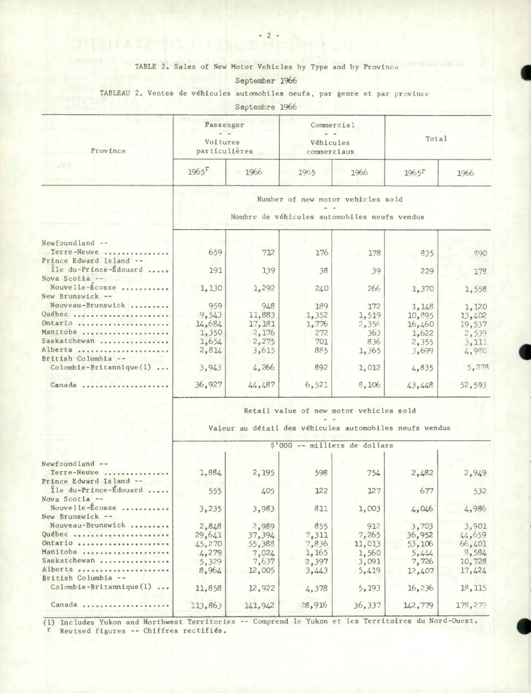### TABLE 2. Sales of New Motor Vehicles by Type and by Province

I

**e** 

## September 1966

### TABLEAU 2. Ventes de véhicules automobiles neufs, par genre et par provinc

Septembre 1966

| Province                                         | Passenger<br>Voitures<br>particulières                                            |         | Commercial<br>Véhicules<br>commerciaux |       | Total               |        |  |
|--------------------------------------------------|-----------------------------------------------------------------------------------|---------|----------------------------------------|-------|---------------------|--------|--|
| <b>SCHOT</b>                                     | $1965$ <sup>r</sup>                                                               | 1966    | 1965                                   | 1966  | $1965$ <sup>r</sup> | 1966   |  |
|                                                  | Number of new motor vehicles sold<br>Nombre de véhicules automobiles neufs vendus |         |                                        |       |                     |        |  |
| Newfoundland --                                  |                                                                                   |         |                                        |       |                     |        |  |
| Terre-Neuve                                      | 659                                                                               | 712     | 176                                    | 178   | 835                 | 890    |  |
| Prince Edward Island --<br>Ile du-Prince-Édouard | 191                                                                               | 139     | 38                                     | 39    | 229                 |        |  |
| Nova Scotia --                                   |                                                                                   |         |                                        |       |                     | 178    |  |
| Nouvelle-Ecosse                                  | 1,130                                                                             | 1,292   | 240                                    | 266   | 1,370               | 1,558  |  |
| New Brunswick --                                 |                                                                                   |         |                                        |       |                     |        |  |
| Nouveau-Brunswick                                | 959                                                                               | 948     | 189                                    | 172   | 1,148               | 1,120  |  |
| Québec                                           | 9,543                                                                             | 11,883  | 1,352                                  | 1,519 | 10,895              | 13,402 |  |
| Ontario                                          | 14,684                                                                            | 17,181  | 1,776                                  | 2,356 | 16,460              | 19,537 |  |
| Manitoba                                         | 1,350                                                                             | 2,176   | 272                                    | 363   | 1,622               | 2,539  |  |
| Saskatchewan                                     | 1,654                                                                             | 2,275   | 701                                    | 836   | 2,355               | 3,111  |  |
| Alberta                                          | 2,814                                                                             | 3,615   | 885                                    | 1,365 | 3,699               | 4,980  |  |
| British Columbia --                              |                                                                                   |         |                                        |       |                     |        |  |
| Colombie-Britannique(1)                          | 3,943                                                                             | 4.266   | 892                                    | 1,012 | 4,835               | 5,278  |  |
| Canada                                           | 36,927                                                                            | 44, 487 | 6,521                                  | 8,106 | 43,448              | 52,593 |  |

Valeur au detail des véhicules automobiles neufs vendus

|                             | \$'000 -- milliers de dollars |         |        |        |         |         |  |  |  |  |
|-----------------------------|-------------------------------|---------|--------|--------|---------|---------|--|--|--|--|
| Newfound land $-$ -         |                               |         |        |        |         |         |  |  |  |  |
| Terre-Neuve                 | 1,884                         | 2,195   | 598    | 754    | 2,482   | 2,949   |  |  |  |  |
| Prince Edward Island --     |                               |         |        |        |         |         |  |  |  |  |
| Île du-Prince-Édouard       | 555                           | 405     | 122    | 127    | 677     | 532     |  |  |  |  |
| Nova Scotia --              |                               |         |        |        |         |         |  |  |  |  |
| Nouvelle-Écosse             | 3,235                         | 3,983   | 811    | 1,003  | 4,046   | 4,986   |  |  |  |  |
| New Brunswick --            |                               |         |        |        |         |         |  |  |  |  |
| Nouveau-Brunswick           | 2,848                         | 2.989   | 855    | 912    | 3,703   | 3,901   |  |  |  |  |
| Québec                      | 29,641                        | 37,394  | 7,311  | 7,265  | 36,952  | 44,659  |  |  |  |  |
| Ontario                     | 45,270                        | 55,388  | 7,836  | 11,013 | 53,106  | 66,401  |  |  |  |  |
| Manitoba                    | 4,279                         | 7.024   | 1,165  | 1,560  | 5.444   | 8,584   |  |  |  |  |
| Saskatchewan                | 5,329                         | 7,637   | 2,397  | 3,091  | 7,726   | 10,728  |  |  |  |  |
| Alberta                     | 8.964                         | 12,005  | 3,443  | 5,419  | 12,407  | 17,424  |  |  |  |  |
| British Columbia --         |                               |         |        |        |         |         |  |  |  |  |
| $Colombie-Brittannique(1) $ | 11,858                        | 12,922  | 4,378  | 5, 193 | 16, 236 | 18, 115 |  |  |  |  |
| .<br>Canada                 | 113,863                       | 141,942 | 28,916 | 36,337 | 142,779 | 178,279 |  |  |  |  |
|                             |                               |         |        |        |         |         |  |  |  |  |

(1) Includes Yukon and Northwest Territories -- Comprend le Yukon et les Territoires du Nord-Ouest. r Revised figures -- Chiffres rectifiés.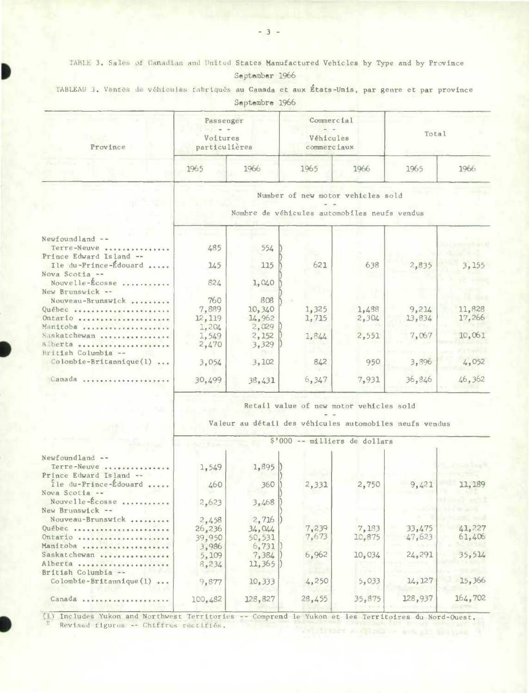TABLE 3. Sales of Canadian and United States Manufactured Vehicles by Type and by Province September 1966

|  |  |  |                |  | TABLEAU 3. Ventes de véhicules fabriqués au Canada et aux États-Unis, par genre et par province |  |  |  |
|--|--|--|----------------|--|-------------------------------------------------------------------------------------------------|--|--|--|
|  |  |  | Septembre 1966 |  |                                                                                                 |  |  |  |

| Province                                                  | Passenger<br>Voitures<br>particulières                                            |                           | Commercial<br>Véhicules<br>commerciaux |                | Total  |        |  |  |  |  |  |
|-----------------------------------------------------------|-----------------------------------------------------------------------------------|---------------------------|----------------------------------------|----------------|--------|--------|--|--|--|--|--|
|                                                           | 1965                                                                              | 1966                      | 1965                                   | 1966           | 1965   | 1966   |  |  |  |  |  |
|                                                           | Number of new motor vehicles sold<br>Nombre de véhicules automobiles neufs vendus |                           |                                        |                |        |        |  |  |  |  |  |
| Newfoundland --<br>Terre-Neuve<br>Prince Edward Island -- | 485                                                                               | 554                       |                                        |                |        |        |  |  |  |  |  |
| Ile du-Prince-Édouard<br>Nova Scotia --                   | 145                                                                               | 115                       | 621                                    | 638            | 2,835  | 3, 155 |  |  |  |  |  |
| Nouvelle-Écosse<br>New Brunswick --                       | 824                                                                               | 1,040                     |                                        |                |        |        |  |  |  |  |  |
| Nouveau-Brunswick                                         | 760<br>7,889                                                                      | 808                       | 1,325                                  |                | 9,214  | 11,828 |  |  |  |  |  |
| Québec<br>Ontario<br>Manitoba                             | 12, 119<br>1,204                                                                  | 10,340<br>14,962<br>2,029 | 1,715                                  | 1,488<br>2,304 | 13,834 | 17,266 |  |  |  |  |  |
| Saskatchewan<br>Alberta                                   | 1,549<br>2,470                                                                    | 2,152<br>3,329            | 1,844                                  | 2,551          | 7.067  | 10,061 |  |  |  |  |  |
| British Columbia --<br>Colombie-Britannique(1)            | 3,054                                                                             | 3,102                     | 842                                    | 950            | 3,896  | 4,052  |  |  |  |  |  |
| Canada                                                    | 30,499                                                                            | 38.431                    | 6,347                                  | 7,931          | 36,846 | 46,362 |  |  |  |  |  |

Retail value of new motor vehicles sold

 $\frac{1}{2}$ Valeur au détail des véhicules automobiles neufs vendus

| 11,189  |
|---------|
|         |
|         |
|         |
|         |
| 41,227  |
| 61,406  |
|         |
| 35,514  |
|         |
|         |
| 15,366  |
| 164,702 |
|         |

(1) Includes Yukon and Northwest Territories -- Comprend le Yukon et les Territoires du Nord-Ouest. Revised figures -- Chiffres rectifiés.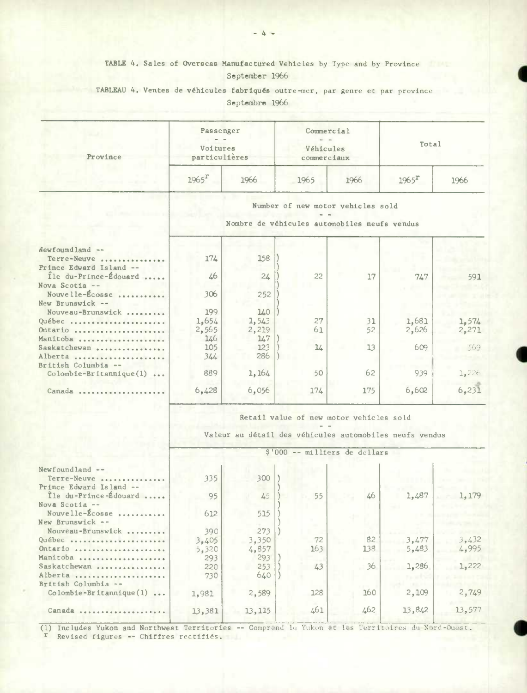# TABLE 4. Sales of Overseas Manufactured Vehicles by Type and by Province September 1966

TABLEAU 4. **Ventes de véhicules fabriquéa** outre-mer, par genre et par province Septembre 1966

| Province                                         | Passenger<br>Voitures<br>particulières                  |       | Commercial<br>Véhicules<br>commerciaux |                                              | Total    |        |  |  |  |  |
|--------------------------------------------------|---------------------------------------------------------|-------|----------------------------------------|----------------------------------------------|----------|--------|--|--|--|--|
|                                                  | $1965$ <sup>r</sup>                                     | 1966  | 1965                                   | 1966                                         | $1965^T$ | 1966   |  |  |  |  |
|                                                  |                                                         |       |                                        | Number of new motor vehicles sold            |          |        |  |  |  |  |
|                                                  |                                                         |       |                                        | Nombre de véhicules automobiles neufs vendus |          |        |  |  |  |  |
| Newfoundland --                                  |                                                         |       |                                        |                                              |          |        |  |  |  |  |
| Terre-Neuve<br>Prince Edward Island --           | 174                                                     | 158   |                                        |                                              |          |        |  |  |  |  |
| Ile du-Prince-Édouard<br>Nova Scotia --          | 46                                                      | 24    | 22                                     | 17                                           | 747      | 591    |  |  |  |  |
| Nouvelle-Écosse<br>New Brunswick --              | 306                                                     | 252   |                                        |                                              |          |        |  |  |  |  |
| Nouveau-Brunswick                                | 199                                                     | 140   |                                        |                                              |          |        |  |  |  |  |
| Québec                                           | 1,654                                                   | 1,543 | 27                                     | 31                                           | 1,681    | 1,574  |  |  |  |  |
| Ontario                                          | 2,565                                                   | 2,219 | 61                                     | 52                                           | 2,626    | 2,271  |  |  |  |  |
| Manitoba                                         | 146                                                     | 147   |                                        |                                              |          |        |  |  |  |  |
| Saskatchewan                                     | 105                                                     | 123   | $\frac{1}{4}$                          | 13                                           | 609      | -569   |  |  |  |  |
| Alberta                                          | 344                                                     | 286   |                                        |                                              |          |        |  |  |  |  |
| British Columbia --                              |                                                         |       |                                        |                                              |          |        |  |  |  |  |
| $Colombie-Britannique(1) $                       | 889                                                     | 1,164 | 50                                     | 62                                           | 939      | 1,226  |  |  |  |  |
| Canada                                           | 6,428                                                   | 6,056 | 174                                    | 175                                          | 6,602    | 6, 231 |  |  |  |  |
|                                                  |                                                         |       |                                        | Retail value of new motor vehicles sold      |          |        |  |  |  |  |
|                                                  | Valeur au détail des véhicules automobiles neufs vendus |       |                                        |                                              |          |        |  |  |  |  |
|                                                  |                                                         |       |                                        | \$'000 -- milliers de dollars                |          |        |  |  |  |  |
| Newfoundland --                                  |                                                         |       |                                        |                                              |          |        |  |  |  |  |
| Terre-Neuve                                      | 335                                                     | 300   |                                        |                                              |          |        |  |  |  |  |
| Prince Edward Island --<br>Île du-Prince-Édouard |                                                         |       |                                        |                                              |          |        |  |  |  |  |
| Nova Scotia --                                   | 95                                                      | 45    | 55                                     | 46                                           | 1,487    | 1,179  |  |  |  |  |
| Nouvelle-Écosse<br>New Brunswick --              | 612                                                     | 515   |                                        |                                              |          |        |  |  |  |  |
| Nouveau-Brunswick                                | 390                                                     | 273   |                                        |                                              |          |        |  |  |  |  |
| Québec                                           | 3,405                                                   | 3,350 | 72                                     | 82                                           | 3,477    | 3,432  |  |  |  |  |
| Ontario                                          | 5,320                                                   | 4,857 | 163                                    | 138                                          | 5,483    | 4,995  |  |  |  |  |
| Manitoba                                         | 293                                                     | 293   |                                        |                                              |          |        |  |  |  |  |
| Saskatchewan                                     | 220                                                     | 253   | 43                                     | 36                                           | 1,286    | 1,222  |  |  |  |  |
| Alberta                                          | 730                                                     | 640   |                                        |                                              |          |        |  |  |  |  |
| British Columbia --                              |                                                         |       | 128                                    | 160                                          | 2,109    | 2,749  |  |  |  |  |
| $Colomble-Britanrique(1) $                       | 1,981                                                   | 2,589 |                                        |                                              |          |        |  |  |  |  |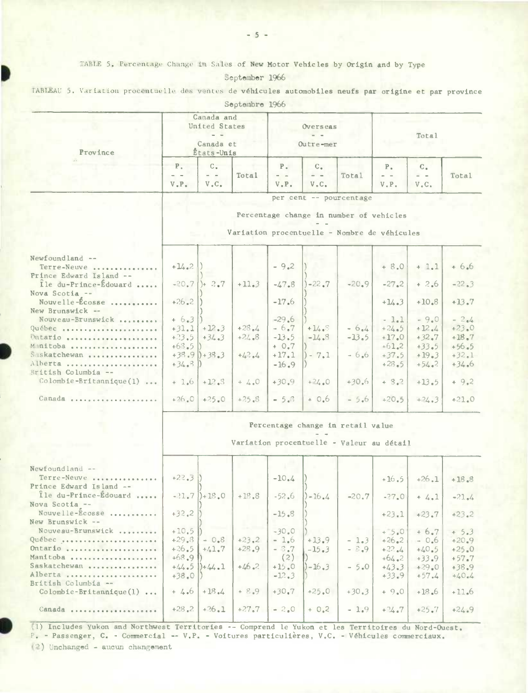TABLE 5. Percentage Change in Sales of New Motor Vehicles by Origin and by Type

September 1966

TABLEAU 5. Variation procentuelle des ventes de véhicules automobiles neufs par origine et par province

|                                          |                |                                                                | nohaamna Ting |                                     |              |                                              |               |                   |         |  |
|------------------------------------------|----------------|----------------------------------------------------------------|---------------|-------------------------------------|--------------|----------------------------------------------|---------------|-------------------|---------|--|
| Province                                 |                | Canada and<br>United States<br>$ -$<br>Canada et<br>Etats-Unis |               | Overseas<br>$\sim$ $-$<br>Outre-mer |              |                                              | Total         |                   |         |  |
|                                          |                |                                                                |               |                                     |              |                                              |               |                   |         |  |
|                                          | P <sub>1</sub> | $C -$                                                          |               | $P -$                               | $C_{\alpha}$ |                                              | $P_{\bullet}$ | $C_{+}$           |         |  |
|                                          | $ -$           | $\omega = \omega$                                              | Total         | $=$ $-$                             | $=$ $-$      | Total                                        | $\omega = -$  | $\omega = \omega$ | Total   |  |
|                                          | $V$ . $P$ .    | $\mathbf{V}$ , $\mathbf{C}$ ,                                  |               | $V$ . $P$ .                         | V.C.         |                                              | V.P.          | V.C.              |         |  |
|                                          |                |                                                                |               |                                     |              | per cent -- pourcentage                      |               |                   |         |  |
|                                          |                |                                                                |               |                                     |              | Percentage change in number of vehicles      |               |                   |         |  |
|                                          |                |                                                                |               |                                     |              |                                              |               |                   |         |  |
|                                          |                |                                                                |               |                                     |              | Variation procentuelle - Nombre de véhicules |               |                   |         |  |
|                                          |                |                                                                |               |                                     |              |                                              |               |                   |         |  |
|                                          |                |                                                                |               |                                     |              |                                              |               |                   |         |  |
| Newfoundland --                          |                |                                                                |               |                                     |              |                                              |               |                   |         |  |
| Terre-Neuve                              | $+14.2$        |                                                                |               | $-9.2$                              |              |                                              | $+8.0$        | $+ 1.1$           | $+6.6$  |  |
| Prince Edward Island --                  |                |                                                                |               |                                     |              |                                              |               |                   |         |  |
| Île du-Prince-Édouard                    | $-20.7$        | $]+ 2.7$                                                       | $+11.3$       | $-47.8$                             | $-22.7$      | $-20.9$                                      | $-27.2$       | $+2.6$            | $-22.3$ |  |
| Nova Scotia --                           |                |                                                                |               |                                     |              |                                              |               |                   |         |  |
| Nouvelle-Écosse                          | $+26.2$        |                                                                |               | $-17.6$                             |              |                                              | $+14.3$       | $+10.8$           | $+13.7$ |  |
| New Brunswick --                         |                |                                                                |               |                                     |              |                                              |               |                   |         |  |
| Nouveau-Brunswick                        | $+6.3$         |                                                                |               | $-29.6$                             |              |                                              | $-1.1$        | $-9.0$            | $-2.4$  |  |
| Québec                                   | $+31.1$        | $+12.3$                                                        | $+28.4$       | $-6.7$                              | $+14.5$      | $-6.4$                                       | $+24.5$       | $+12.4$           | $+23.0$ |  |
|                                          |                |                                                                | $+24.8$       | $-13.5$                             | $-14.3$      | $-13.5$                                      | $+17.0$       | $+32.7$           |         |  |
| Ontario                                  | $+23.5$        | $+34.3$                                                        |               |                                     |              |                                              |               |                   | $+18.7$ |  |
| Manitoba                                 | $+63.5$        |                                                                |               | $+0.7$                              |              |                                              | $+61.2$       | $+33.5$           | $+56.5$ |  |
| Saskatchewan                             |                | $+38.9$ $)+35.3$                                               | $+42.4$       | $+17.1$                             | $-7.1$       | $-6.6$                                       | $+37.5$       | $+19.3$           | $+32.1$ |  |
| Alberta                                  | $+34.8$        |                                                                |               | $-16.9$                             |              |                                              | $+28.5$       | $+54.2$           | $+34.6$ |  |
| British Columbia --                      |                |                                                                |               |                                     |              |                                              |               |                   |         |  |
| $\text{Colombie-Brittannique}(1) \ldots$ | $+1.6$         | $+12.3$                                                        | $+ 4.0$       | $+30.9$                             | $+24.0$      | $+30.6$                                      | $+ 8.2$       | $+13.5$           | $+9.2$  |  |
|                                          |                |                                                                |               |                                     |              |                                              |               |                   |         |  |
| Canada                                   |                | $+26.0$ +25.0                                                  | $+25.8$       | $= 5.8$                             | $+0.6$       | $-5.6$                                       | $+20.5$       | $+24.3$           | $+21.0$ |  |
|                                          |                |                                                                |               |                                     |              |                                              |               |                   |         |  |
|                                          |                |                                                                |               |                                     |              |                                              |               |                   |         |  |
|                                          |                |                                                                |               |                                     |              | Percentage change in retail value            |               |                   |         |  |
|                                          |                |                                                                |               |                                     |              |                                              |               |                   |         |  |
|                                          |                |                                                                |               |                                     |              | Variation procentuelle - Valeur au détail    |               |                   |         |  |
|                                          |                |                                                                |               |                                     |              |                                              |               |                   |         |  |
|                                          |                |                                                                |               |                                     |              |                                              |               |                   |         |  |
| Newfoundland --                          |                |                                                                |               |                                     |              |                                              |               |                   |         |  |
| Terre-Neuve                              | $+22.3$        |                                                                |               | $-10.4$                             |              |                                              | $+16.5$       | $+26.1$           | $+18.8$ |  |
| Prince Edward Island --                  |                |                                                                |               |                                     |              |                                              |               |                   |         |  |
| Île du-Prince-Édouard                    |                | $-21.7$ $+18.0$                                                | $+18.8$       | $-52.6$                             | $1 - 16.4$   | $-20.7$                                      | $-27.0$       | $+4.1$            | $-21.4$ |  |
| Nova Scotia --                           |                |                                                                |               |                                     |              |                                              |               |                   |         |  |
| Nouvelle-Ecosse                          | $+32,2$        |                                                                |               | $-15.8$                             |              |                                              | $+23.1$       | $+23.7$           | $+23.2$ |  |
| New Brunswick --                         |                |                                                                |               |                                     |              |                                              |               |                   |         |  |
| Nouveau-Brunswick                        | $+10.5$        |                                                                |               | $-30.0$                             |              | ٠                                            | $+5.0$        | $+6.7$            | $+5.3$  |  |
| Québec                                   | $+29.8$        | $-0.8$                                                         | $+23.2$       | $-1.6$                              | $+13.9$      | $-1.3$                                       | $+26.2$       | $-0.6$            | $+20.9$ |  |
| $Ontar10$ ,                              | $+26.5$        | $+41.7$                                                        | $+28.9$       | $-3.7$                              | $-15.3$      | $-5.9$                                       | $+22.44$      | $+40.5$           | $+25.0$ |  |
| Manitoba                                 | $+68.9$        |                                                                |               | (2)                                 |              |                                              | $+64.2$       | $+33.9$           | $+57.7$ |  |
| Saskatchewan                             | $+44.5$        | $)+44.1$                                                       | $+46.2$       | $+15.0$                             | $]-16.3$     | $-5.0$                                       | $+43.3$       | $+29.0$           | $+38.9$ |  |
| Alberta                                  | $+38.0$        |                                                                |               | $-12.3$                             |              |                                              | $+33.9$       | $+57.4$           | $+40.4$ |  |
| British Columbia --                      |                |                                                                |               |                                     |              |                                              |               |                   |         |  |
| $Colombie-Britannique(1) $               | $+ 4.6$        | $+18.4$                                                        | $+ 8.9$       | $+30.7$                             | $+25.0$      | $+30.3$                                      | $+9.0$        | $+18.6$           | $+11.6$ |  |
|                                          |                |                                                                |               |                                     |              |                                              |               |                   |         |  |
| Canada                                   | $+28.2$        | $+26.1$                                                        | $+27.7$       | $-2.0$                              | $+ 0.2$      | $-1.9$                                       | $+74.7$       | $+25.7$           | $+24.9$ |  |
|                                          |                |                                                                |               |                                     |              |                                              |               |                   |         |  |

(1) Includes Yukon and Northwest Territories -- Comprend le Yukon et les Territoires du Nord-Ouest, P. - Passenger, C. - Commercial -- V.P. - Voitures particulières, V.C. - Véhicules commerciaux.

(2) Unchanged - aucun changement

Septembre 1966